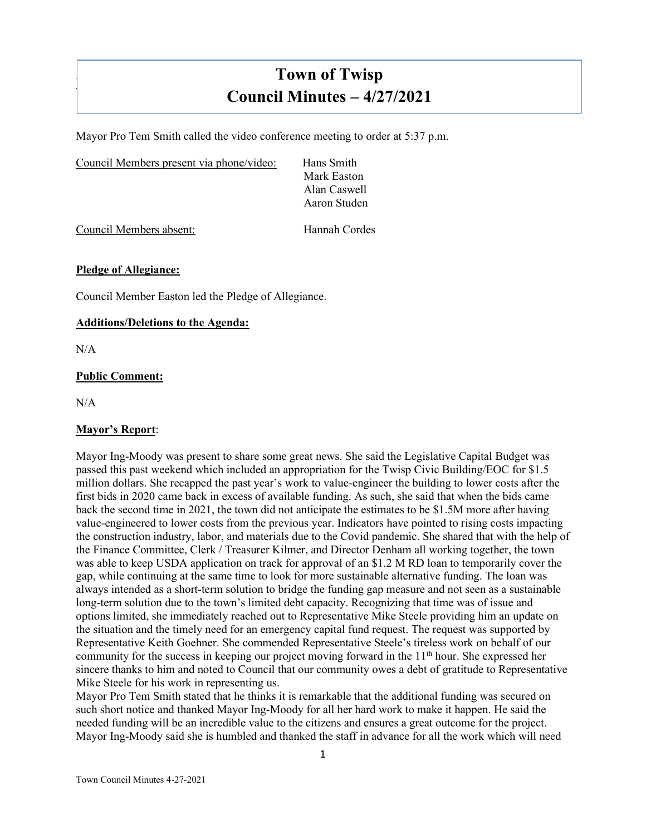# **Town of Twisp Council Minutes – 4/27/2021**

Mayor Pro Tem Smith called the video conference meeting to order at 5:37 p.m.

| Council Members present via phone/video: | Hans Smith   |  |
|------------------------------------------|--------------|--|
|                                          | Mark Easton  |  |
|                                          | Alan Caswell |  |
|                                          | Aaron Studen |  |
|                                          |              |  |

Council Members absent: Hannah Cordes

# **Pledge of Allegiance:**

Council Member Easton led the Pledge of Allegiance.

#### **Additions/Deletions to the Agenda:**

N/A

]

# **Public Comment:**

 $N/A$ 

# **Mayor's Report**:

Mayor Ing-Moody was present to share some great news. She said the Legislative Capital Budget was passed this past weekend which included an appropriation for the Twisp Civic Building/EOC for \$1.5 million dollars. She recapped the past year's work to value-engineer the building to lower costs after the first bids in 2020 came back in excess of available funding. As such, she said that when the bids came back the second time in 2021, the town did not anticipate the estimates to be \$1.5M more after having value-engineered to lower costs from the previous year. Indicators have pointed to rising costs impacting the construction industry, labor, and materials due to the Covid pandemic. She shared that with the help of the Finance Committee, Clerk / Treasurer Kilmer, and Director Denham all working together, the town was able to keep USDA application on track for approval of an \$1.2 M RD loan to temporarily cover the gap, while continuing at the same time to look for more sustainable alternative funding. The loan was always intended as a short-term solution to bridge the funding gap measure and not seen as a sustainable long-term solution due to the town's limited debt capacity. Recognizing that time was of issue and options limited, she immediately reached out to Representative Mike Steele providing him an update on the situation and the timely need for an emergency capital fund request. The request was supported by Representative Keith Goehner. She commended Representative Steele's tireless work on behalf of our community for the success in keeping our project moving forward in the  $11<sup>th</sup>$  hour. She expressed her sincere thanks to him and noted to Council that our community owes a debt of gratitude to Representative Mike Steele for his work in representing us.

Mayor Pro Tem Smith stated that he thinks it is remarkable that the additional funding was secured on such short notice and thanked Mayor Ing-Moody for all her hard work to make it happen. He said the needed funding will be an incredible value to the citizens and ensures a great outcome for the project. Mayor Ing-Moody said she is humbled and thanked the staff in advance for all the work which will need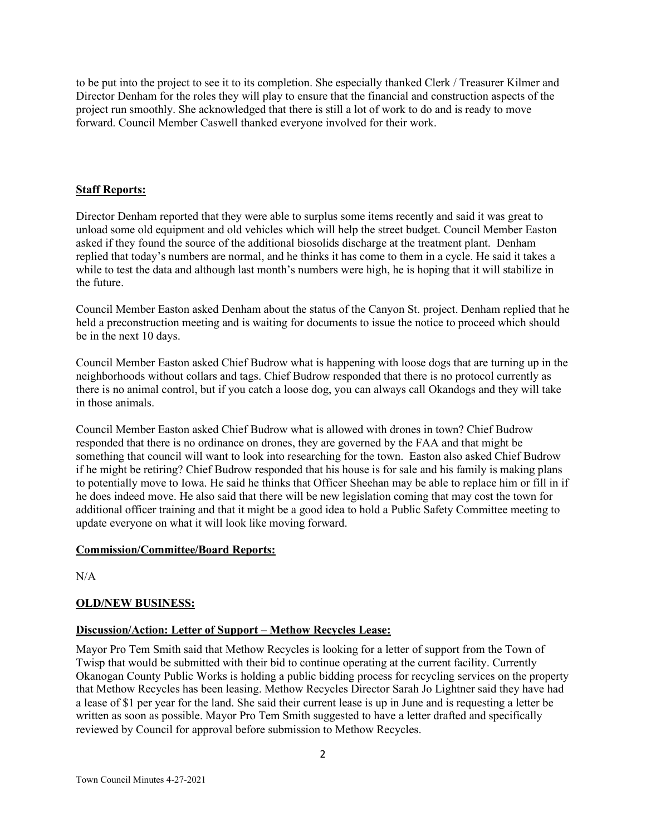to be put into the project to see it to its completion. She especially thanked Clerk / Treasurer Kilmer and Director Denham for the roles they will play to ensure that the financial and construction aspects of the project run smoothly. She acknowledged that there is still a lot of work to do and is ready to move forward. Council Member Caswell thanked everyone involved for their work.

## **Staff Reports:**

Director Denham reported that they were able to surplus some items recently and said it was great to unload some old equipment and old vehicles which will help the street budget. Council Member Easton asked if they found the source of the additional biosolids discharge at the treatment plant. Denham replied that today's numbers are normal, and he thinks it has come to them in a cycle. He said it takes a while to test the data and although last month's numbers were high, he is hoping that it will stabilize in the future.

Council Member Easton asked Denham about the status of the Canyon St. project. Denham replied that he held a preconstruction meeting and is waiting for documents to issue the notice to proceed which should be in the next 10 days.

Council Member Easton asked Chief Budrow what is happening with loose dogs that are turning up in the neighborhoods without collars and tags. Chief Budrow responded that there is no protocol currently as there is no animal control, but if you catch a loose dog, you can always call Okandogs and they will take in those animals.

Council Member Easton asked Chief Budrow what is allowed with drones in town? Chief Budrow responded that there is no ordinance on drones, they are governed by the FAA and that might be something that council will want to look into researching for the town. Easton also asked Chief Budrow if he might be retiring? Chief Budrow responded that his house is for sale and his family is making plans to potentially move to Iowa. He said he thinks that Officer Sheehan may be able to replace him or fill in if he does indeed move. He also said that there will be new legislation coming that may cost the town for additional officer training and that it might be a good idea to hold a Public Safety Committee meeting to update everyone on what it will look like moving forward.

#### **Commission/Committee/Board Reports:**

 $N/A$ 

# **OLD/NEW BUSINESS:**

# **Discussion/Action: Letter of Support – Methow Recycles Lease:**

Mayor Pro Tem Smith said that Methow Recycles is looking for a letter of support from the Town of Twisp that would be submitted with their bid to continue operating at the current facility. Currently Okanogan County Public Works is holding a public bidding process for recycling services on the property that Methow Recycles has been leasing. Methow Recycles Director Sarah Jo Lightner said they have had a lease of \$1 per year for the land. She said their current lease is up in June and is requesting a letter be written as soon as possible. Mayor Pro Tem Smith suggested to have a letter drafted and specifically reviewed by Council for approval before submission to Methow Recycles.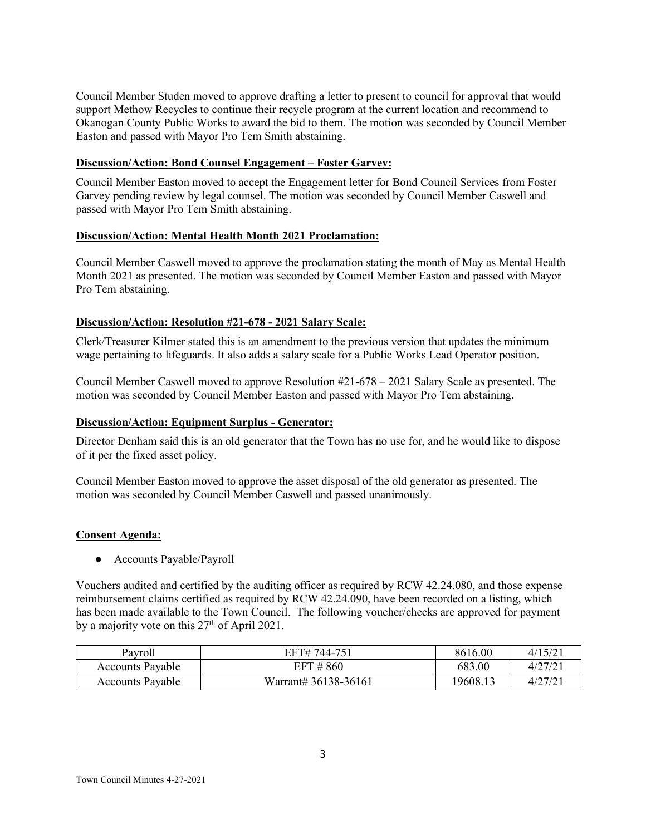Council Member Studen moved to approve drafting a letter to present to council for approval that would support Methow Recycles to continue their recycle program at the current location and recommend to Okanogan County Public Works to award the bid to them. The motion was seconded by Council Member Easton and passed with Mayor Pro Tem Smith abstaining.

## **Discussion/Action: Bond Counsel Engagement – Foster Garvey:**

Council Member Easton moved to accept the Engagement letter for Bond Council Services from Foster Garvey pending review by legal counsel. The motion was seconded by Council Member Caswell and passed with Mayor Pro Tem Smith abstaining.

## **Discussion/Action: Mental Health Month 2021 Proclamation:**

Council Member Caswell moved to approve the proclamation stating the month of May as Mental Health Month 2021 as presented. The motion was seconded by Council Member Easton and passed with Mayor Pro Tem abstaining.

## **Discussion/Action: Resolution #21-678 - 2021 Salary Scale:**

Clerk/Treasurer Kilmer stated this is an amendment to the previous version that updates the minimum wage pertaining to lifeguards. It also adds a salary scale for a Public Works Lead Operator position.

Council Member Caswell moved to approve Resolution #21-678 – 2021 Salary Scale as presented. The motion was seconded by Council Member Easton and passed with Mayor Pro Tem abstaining.

#### **Discussion/Action: Equipment Surplus - Generator:**

Director Denham said this is an old generator that the Town has no use for, and he would like to dispose of it per the fixed asset policy.

Council Member Easton moved to approve the asset disposal of the old generator as presented. The motion was seconded by Council Member Caswell and passed unanimously.

#### **Consent Agenda:**

● Accounts Payable/Payroll

Vouchers audited and certified by the auditing officer as required by RCW 42.24.080, and those expense reimbursement claims certified as required by RCW 42.24.090, have been recorded on a listing, which has been made available to the Town Council. The following voucher/checks are approved for payment by a majority vote on this 27<sup>th</sup> of April 2021.

| Pavroll                 | EFT# 744-751         | 8616.00  | 4/15/2 |
|-------------------------|----------------------|----------|--------|
| <b>Accounts Payable</b> | EFT # 860            | 683.00   | 4/27/2 |
| <b>Accounts Payable</b> | Warrant# 36138-36161 | 19608.13 | 4/27/2 |